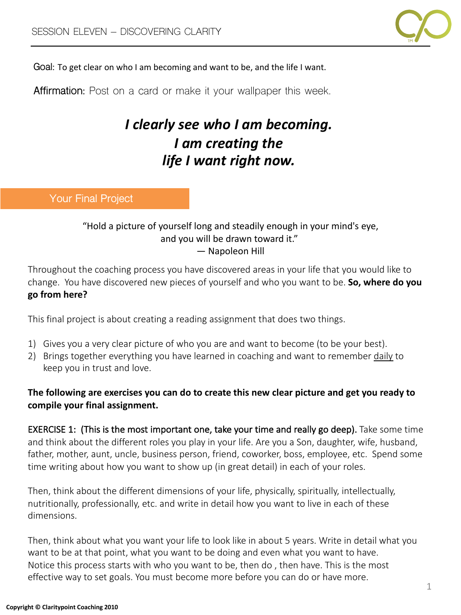

Goal: To get clear on who I am becoming and want to be, and the life I want.

**Affirmation:** Post on a card or make it your wallpaper this week.

# *I clearly see who I am becoming. I am creating the life I want right now.*

**Your Final Project**

#### "Hold a picture of yourself long and steadily enough in your mind's eye, and you will be drawn toward it." ― Napoleon Hill

Throughout the coaching process you have discovered areas in your life that you would like to change. You have discovered new pieces of yourself and who you want to be. **So, where do you go from here?**

This final project is about creating a reading assignment that does two things.

- 1) Gives you a very clear picture of who you are and want to become (to be your best).
- 2) Brings together everything you have learned in coaching and want to remember daily to keep you in trust and love.

#### The following are exercises you can do to create this new clear picture and get you ready to compile your final assignment.

**EXERCISE 1:** (This is the most important one, take your time and really go deep). Take some time and think about the different roles you play in your life. Are you a Son, daughter, wife, husband, father, mother, aunt, uncle, business person, friend, coworker, boss, employee, etc. Spend some time writing about how you want to show up (in great detail) in each of your roles.

Then, think about the different dimensions of your life, physically, spiritually, intellectually, nutritionally, professionally, etc. and write in detail how you want to live in each of these dimensions.

Then, think about what you want your life to look like in about 5 years. Write in detail what you want to be at that point, what you want to be doing and even what you want to have. Notice this process starts with who you want to be, then do, then have. This is the most effective way to set goals. You must become more before you can do or have more.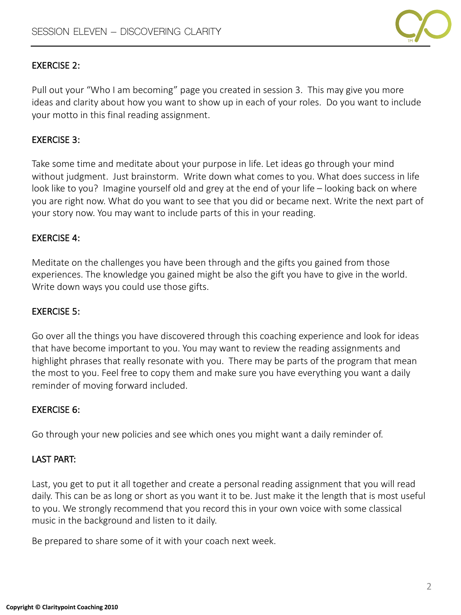

#### **EXERCISE 2:**

Pull out your "Who I am becoming" page you created in session 3. This may give you more ideas and clarity about how you want to show up in each of your roles. Do you want to include your motto in this final reading assignment.

#### EXERCISE 3:

Take some time and meditate about your purpose in life. Let ideas go through your mind without judgment. Just brainstorm. Write down what comes to you. What does success in life look like to you? Imagine yourself old and grey at the end of your life - looking back on where you are right now. What do you want to see that you did or became next. Write the next part of your story now. You may want to include parts of this in your reading.

#### **EXERCISE 4:**

Meditate on the challenges you have been through and the gifts you gained from those experiences. The knowledge you gained might be also the gift you have to give in the world. Write down ways you could use those gifts.

#### **EXERCISE 5:**

Go over all the things you have discovered through this coaching experience and look for ideas that have become important to you. You may want to review the reading assignments and highlight phrases that really resonate with you. There may be parts of the program that mean the most to you. Feel free to copy them and make sure you have everything you want a daily reminder of moving forward included.

#### **EXERCISE 6:**

Go through your new policies and see which ones you might want a daily reminder of.

#### LAST PART:

Last, you get to put it all together and create a personal reading assignment that you will read daily. This can be as long or short as you want it to be. Just make it the length that is most useful to you. We strongly recommend that you record this in your own voice with some classical music in the background and listen to it daily.

Be prepared to share some of it with your coach next week.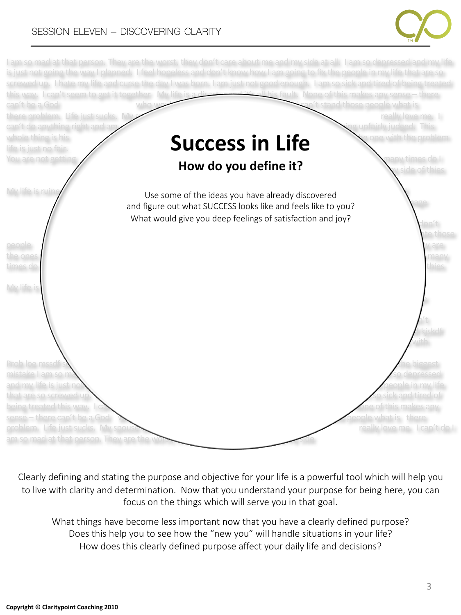### SESSION ELEVEN – DISCOVERING CLARITY





Clearly defining and stating the purpose and objective for your life is a powerful tool which will help you to live with clarity and determination. Now that you understand your purpose for being here, you can focus on the things which will serve you in that goal.

What things have become less important now that you have a clearly defined purpose? Does this help you to see how the "new you" will handle situations in your life? How does this clearly defined purpose affect your daily life and decisions?